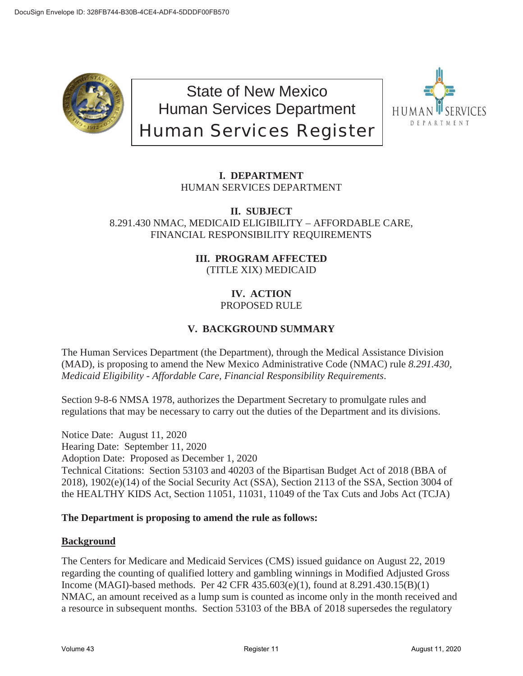

State of New Mexico Human Services Department Human Services Register



# **I. DEPARTMENT** HUMAN SERVICES DEPARTMENT

#### **II. SUBJECT** 8.291.430 NMAC, MEDICAID ELIGIBILITY – AFFORDABLE CARE, FINANCIAL RESPONSIBILITY REQUIREMENTS

# **III. PROGRAM AFFECTED** (TITLE XIX) MEDICAID

#### **IV. ACTION** PROPOSED RULE

# **V. BACKGROUND SUMMARY**

The Human Services Department (the Department), through the Medical Assistance Division (MAD), is proposing to amend the New Mexico Administrative Code (NMAC) rule *8.291.430, Medicaid Eligibility - Affordable Care, Financial Responsibility Requirements*.

Section 9-8-6 NMSA 1978, authorizes the Department Secretary to promulgate rules and regulations that may be necessary to carry out the duties of the Department and its divisions.

Notice Date: August 11, 2020 Hearing Date: September 11, 2020 Adoption Date: Proposed as December 1, 2020 Technical Citations: Section 53103 and 40203 of the Bipartisan Budget Act of 2018 (BBA of 2018), 1902(e)(14) of the Social Security Act (SSA), Section 2113 of the SSA, Section 3004 of the HEALTHY KIDS Act, Section 11051, 11031, 11049 of the Tax Cuts and Jobs Act (TCJA)

# **The Department is proposing to amend the rule as follows:**

## **Background**

The Centers for Medicare and Medicaid Services (CMS) issued guidance on August 22, 2019 regarding the counting of qualified lottery and gambling winnings in Modified Adjusted Gross Income (MAGI)-based methods. Per 42 CFR 435.603(e)(1), found at 8.291.430.15(B)(1) NMAC, an amount received as a lump sum is counted as income only in the month received and a resource in subsequent months. Section 53103 of the BBA of 2018 supersedes the regulatory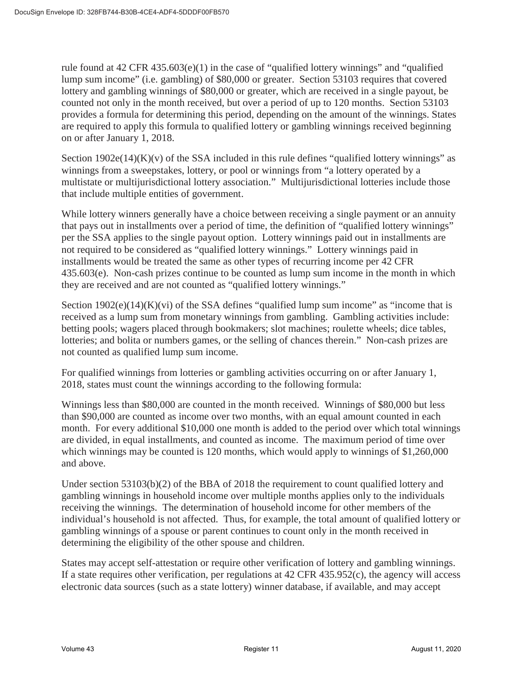rule found at 42 CFR 435.603(e)(1) in the case of "qualified lottery winnings" and "qualified lump sum income" (i.e. gambling) of \$80,000 or greater. Section 53103 requires that covered lottery and gambling winnings of \$80,000 or greater, which are received in a single payout, be counted not only in the month received, but over a period of up to 120 months. Section 53103 provides a formula for determining this period, depending on the amount of the winnings. States are required to apply this formula to qualified lottery or gambling winnings received beginning on or after January 1, 2018.

Section  $1902e(14)(K)(v)$  of the SSA included in this rule defines "qualified lottery winnings" as winnings from a sweepstakes, lottery, or pool or winnings from "a lottery operated by a multistate or multijurisdictional lottery association." Multijurisdictional lotteries include those that include multiple entities of government.

While lottery winners generally have a choice between receiving a single payment or an annuity that pays out in installments over a period of time, the definition of "qualified lottery winnings" per the SSA applies to the single payout option. Lottery winnings paid out in installments are not required to be considered as "qualified lottery winnings." Lottery winnings paid in installments would be treated the same as other types of recurring income per 42 CFR 435.603(e). Non-cash prizes continue to be counted as lump sum income in the month in which they are received and are not counted as "qualified lottery winnings."

Section  $1902(e)(14)(K)(vi)$  of the SSA defines "qualified lump sum income" as "income that is received as a lump sum from monetary winnings from gambling. Gambling activities include: betting pools; wagers placed through bookmakers; slot machines; roulette wheels; dice tables, lotteries; and bolita or numbers games, or the selling of chances therein." Non-cash prizes are not counted as qualified lump sum income.

For qualified winnings from lotteries or gambling activities occurring on or after January 1, 2018, states must count the winnings according to the following formula:

Winnings less than \$80,000 are counted in the month received. Winnings of \$80,000 but less than \$90,000 are counted as income over two months, with an equal amount counted in each month. For every additional \$10,000 one month is added to the period over which total winnings are divided, in equal installments, and counted as income. The maximum period of time over which winnings may be counted is 120 months, which would apply to winnings of \$1,260,000 and above.

Under section 53103(b)(2) of the BBA of 2018 the requirement to count qualified lottery and gambling winnings in household income over multiple months applies only to the individuals receiving the winnings. The determination of household income for other members of the individual's household is not affected. Thus, for example, the total amount of qualified lottery or gambling winnings of a spouse or parent continues to count only in the month received in determining the eligibility of the other spouse and children.

States may accept self-attestation or require other verification of lottery and gambling winnings. If a state requires other verification, per regulations at 42 CFR 435.952(c), the agency will access electronic data sources (such as a state lottery) winner database, if available, and may accept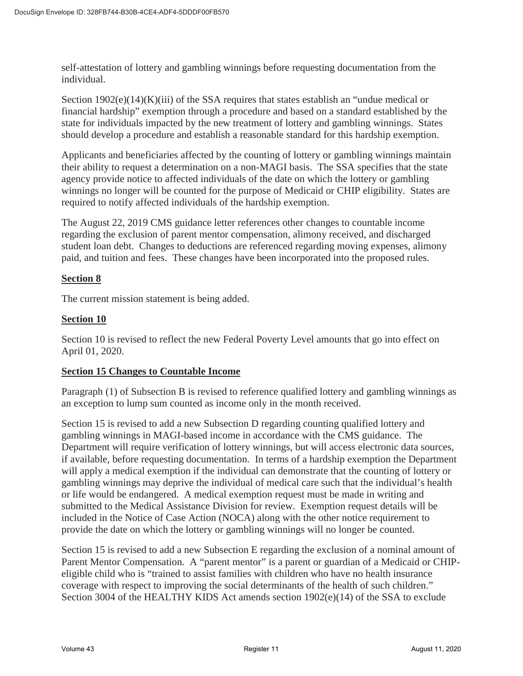self-attestation of lottery and gambling winnings before requesting documentation from the individual.

Section  $1902(e)(14)(K)(iii)$  of the SSA requires that states establish an "undue medical or financial hardship" exemption through a procedure and based on a standard established by the state for individuals impacted by the new treatment of lottery and gambling winnings. States should develop a procedure and establish a reasonable standard for this hardship exemption.

Applicants and beneficiaries affected by the counting of lottery or gambling winnings maintain their ability to request a determination on a non-MAGI basis. The SSA specifies that the state agency provide notice to affected individuals of the date on which the lottery or gambling winnings no longer will be counted for the purpose of Medicaid or CHIP eligibility. States are required to notify affected individuals of the hardship exemption.

The August 22, 2019 CMS guidance letter references other changes to countable income regarding the exclusion of parent mentor compensation, alimony received, and discharged student loan debt. Changes to deductions are referenced regarding moving expenses, alimony paid, and tuition and fees. These changes have been incorporated into the proposed rules.

#### **Section 8**

The current mission statement is being added.

## **Section 10**

Section 10 is revised to reflect the new Federal Poverty Level amounts that go into effect on April 01, 2020.

#### **Section 15 Changes to Countable Income**

Paragraph (1) of Subsection B is revised to reference qualified lottery and gambling winnings as an exception to lump sum counted as income only in the month received.

Section 15 is revised to add a new Subsection D regarding counting qualified lottery and gambling winnings in MAGI-based income in accordance with the CMS guidance. The Department will require verification of lottery winnings, but will access electronic data sources, if available, before requesting documentation. In terms of a hardship exemption the Department will apply a medical exemption if the individual can demonstrate that the counting of lottery or gambling winnings may deprive the individual of medical care such that the individual's health or life would be endangered. A medical exemption request must be made in writing and submitted to the Medical Assistance Division for review. Exemption request details will be included in the Notice of Case Action (NOCA) along with the other notice requirement to provide the date on which the lottery or gambling winnings will no longer be counted.

Section 15 is revised to add a new Subsection E regarding the exclusion of a nominal amount of Parent Mentor Compensation. A "parent mentor" is a parent or guardian of a Medicaid or CHIPeligible child who is "trained to assist families with children who have no health insurance coverage with respect to improving the social determinants of the health of such children." Section 3004 of the HEALTHY KIDS Act amends section 1902(e)(14) of the SSA to exclude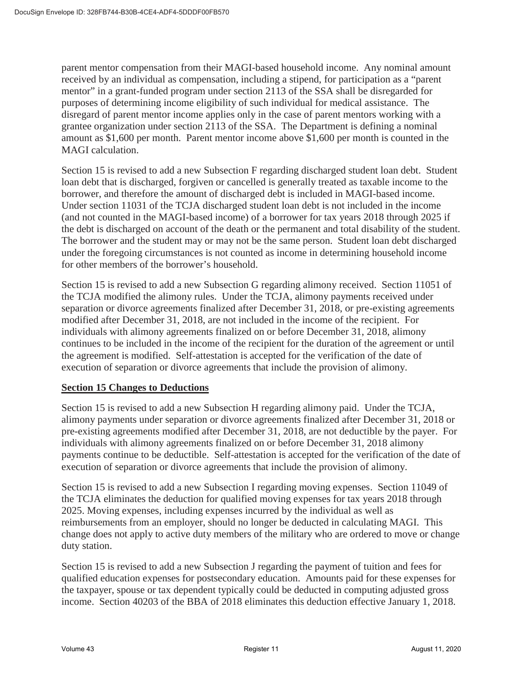parent mentor compensation from their MAGI-based household income. Any nominal amount received by an individual as compensation, including a stipend, for participation as a "parent mentor" in a grant-funded program under section 2113 of the SSA shall be disregarded for purposes of determining income eligibility of such individual for medical assistance. The disregard of parent mentor income applies only in the case of parent mentors working with a grantee organization under section 2113 of the SSA. The Department is defining a nominal amount as \$1,600 per month. Parent mentor income above \$1,600 per month is counted in the MAGI calculation.

Section 15 is revised to add a new Subsection F regarding discharged student loan debt. Student loan debt that is discharged, forgiven or cancelled is generally treated as taxable income to the borrower, and therefore the amount of discharged debt is included in MAGI-based income. Under section 11031 of the TCJA discharged student loan debt is not included in the income (and not counted in the MAGI-based income) of a borrower for tax years 2018 through 2025 if the debt is discharged on account of the death or the permanent and total disability of the student. The borrower and the student may or may not be the same person. Student loan debt discharged under the foregoing circumstances is not counted as income in determining household income for other members of the borrower's household.

Section 15 is revised to add a new Subsection G regarding alimony received. Section 11051 of the TCJA modified the alimony rules. Under the TCJA, alimony payments received under separation or divorce agreements finalized after December 31, 2018, or pre-existing agreements modified after December 31, 2018, are not included in the income of the recipient. For individuals with alimony agreements finalized on or before December 31, 2018, alimony continues to be included in the income of the recipient for the duration of the agreement or until the agreement is modified. Self-attestation is accepted for the verification of the date of execution of separation or divorce agreements that include the provision of alimony.

## **Section 15 Changes to Deductions**

Section 15 is revised to add a new Subsection H regarding alimony paid. Under the TCJA, alimony payments under separation or divorce agreements finalized after December 31, 2018 or pre-existing agreements modified after December 31, 2018, are not deductible by the payer. For individuals with alimony agreements finalized on or before December 31, 2018 alimony payments continue to be deductible. Self-attestation is accepted for the verification of the date of execution of separation or divorce agreements that include the provision of alimony.

Section 15 is revised to add a new Subsection I regarding moving expenses. Section 11049 of the TCJA eliminates the deduction for qualified moving expenses for tax years 2018 through 2025. Moving expenses, including expenses incurred by the individual as well as reimbursements from an employer, should no longer be deducted in calculating MAGI. This change does not apply to active duty members of the military who are ordered to move or change duty station.

Section 15 is revised to add a new Subsection J regarding the payment of tuition and fees for qualified education expenses for postsecondary education. Amounts paid for these expenses for the taxpayer, spouse or tax dependent typically could be deducted in computing adjusted gross income. Section 40203 of the BBA of 2018 eliminates this deduction effective January 1, 2018.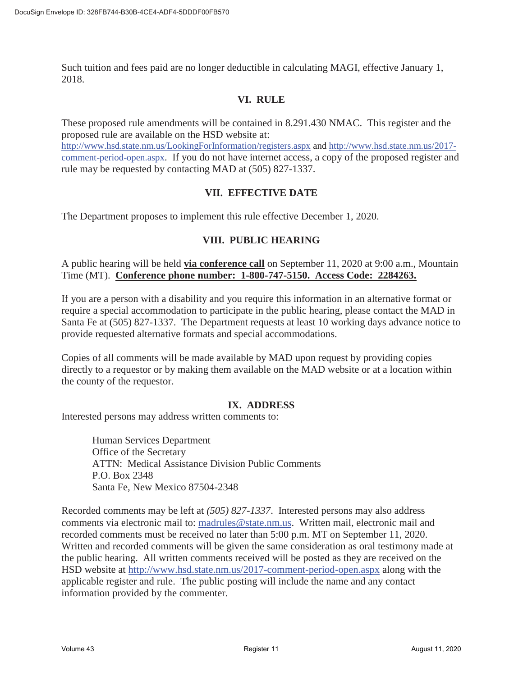Such tuition and fees paid are no longer deductible in calculating MAGI, effective January 1, 2018.

## **VI. RULE**

These proposed rule amendments will be contained in 8.291.430 NMAC. This register and the proposed rule are available on the HSD website at:

http://www.hsd.state.nm.us/LookingForInformation/registers.aspx and http://www.hsd.state.nm.us/2017 comment-period-open.aspx. If you do not have internet access, a copy of the proposed register and rule may be requested by contacting MAD at (505) 827-1337.

## **VII. EFFECTIVE DATE**

The Department proposes to implement this rule effective December 1, 2020.

## **VIII. PUBLIC HEARING**

A public hearing will be held **via conference call** on September 11, 2020 at 9:00 a.m., Mountain Time (MT). **Conference phone number: 1-800-747-5150. Access Code: 2284263.**

If you are a person with a disability and you require this information in an alternative format or require a special accommodation to participate in the public hearing, please contact the MAD in Santa Fe at (505) 827-1337. The Department requests at least 10 working days advance notice to provide requested alternative formats and special accommodations.

Copies of all comments will be made available by MAD upon request by providing copies directly to a requestor or by making them available on the MAD website or at a location within the county of the requestor.

## **IX. ADDRESS**

Interested persons may address written comments to:

Human Services Department Office of the Secretary ATTN: Medical Assistance Division Public Comments P.O. Box 2348 Santa Fe, New Mexico 87504-2348

Recorded comments may be left at *(505) 827-1337*. Interested persons may also address comments via electronic mail to: madrules@state.nm.us. Written mail, electronic mail and recorded comments must be received no later than 5:00 p.m. MT on September 11, 2020. Written and recorded comments will be given the same consideration as oral testimony made at the public hearing. All written comments received will be posted as they are received on the HSD website at http://www.hsd.state.nm.us/2017-comment-period-open.aspx along with the applicable register and rule. The public posting will include the name and any contact information provided by the commenter.